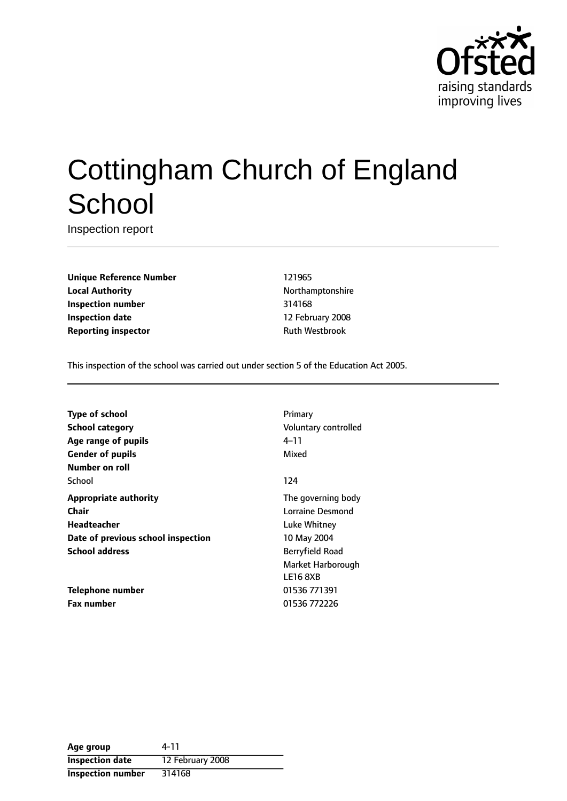

# Cottingham Church of England **School**

Inspection report

**Unique Reference Number** 121965 **Local Authority Northamptonshire Inspection number** 314168 **Inspection date** 12 February 2008 **Reporting inspector CONFIDENTIAL RUST** Ruth Westbrook

This inspection of the school was carried out under section 5 of the Education Act 2005.

**Type of school** Primary **School category CONSIDER SCHOOL CATEGORY** Voluntary controlled **Age** range of pupils **Age** *Pupils* 4-11 **Gender of pupils** Mixed **Number on roll** School and the second second second second second second second second second second second second second second second second second second second second second second second second second second second second second seco **Appropriate authority** The governing body **Chair** Lorraine Desmond **Headteacher Luke Whitney Date of previous school inspection** 10 May 2004 **School address** Berryfield Road

**Telephone number** 01536 771391 **Fax number** 01536 772226

Market Harborough LE16 8XB

| Age group                | 4-11             |
|--------------------------|------------------|
| <b>Inspection date</b>   | 12 February 2008 |
| <b>Inspection number</b> | 314168           |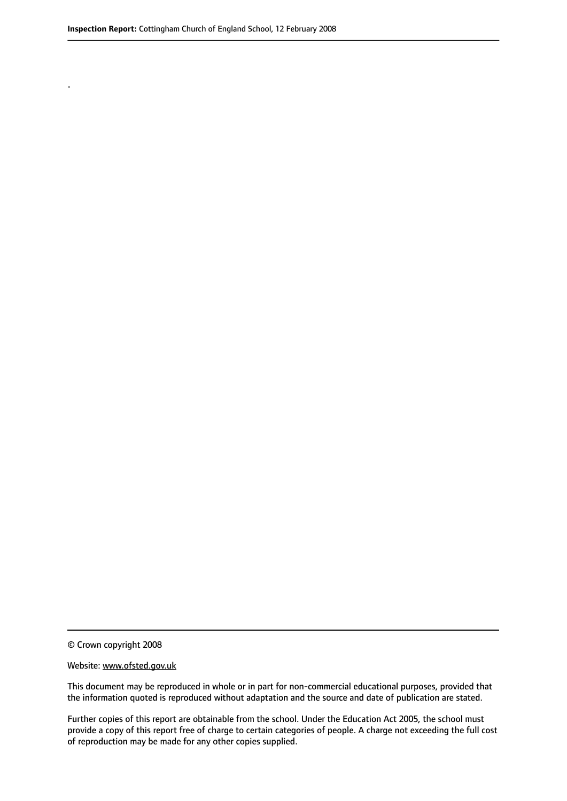.

© Crown copyright 2008

#### Website: www.ofsted.gov.uk

This document may be reproduced in whole or in part for non-commercial educational purposes, provided that the information quoted is reproduced without adaptation and the source and date of publication are stated.

Further copies of this report are obtainable from the school. Under the Education Act 2005, the school must provide a copy of this report free of charge to certain categories of people. A charge not exceeding the full cost of reproduction may be made for any other copies supplied.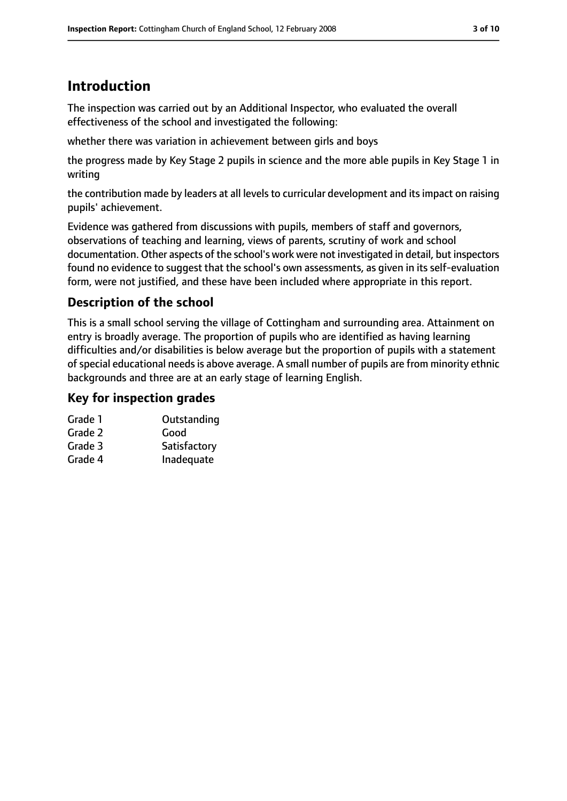# **Introduction**

The inspection was carried out by an Additional Inspector, who evaluated the overall effectiveness of the school and investigated the following:

whether there was variation in achievement between girls and boys

the progress made by Key Stage 2 pupils in science and the more able pupils in Key Stage 1 in writing

the contribution made by leaders at all levels to curricular development and its impact on raising pupils' achievement.

Evidence was gathered from discussions with pupils, members of staff and governors, observations of teaching and learning, views of parents, scrutiny of work and school documentation. Other aspects of the school's work were not investigated in detail, but inspectors found no evidence to suggest that the school's own assessments, as given in its self-evaluation form, were not justified, and these have been included where appropriate in this report.

## **Description of the school**

This is a small school serving the village of Cottingham and surrounding area. Attainment on entry is broadly average. The proportion of pupils who are identified as having learning difficulties and/or disabilities is below average but the proportion of pupils with a statement of special educational needs is above average. A small number of pupils are from minority ethnic backgrounds and three are at an early stage of learning English.

### **Key for inspection grades**

| Grade 1 | Outstanding  |
|---------|--------------|
| Grade 2 | Good         |
| Grade 3 | Satisfactory |
| Grade 4 | Inadequate   |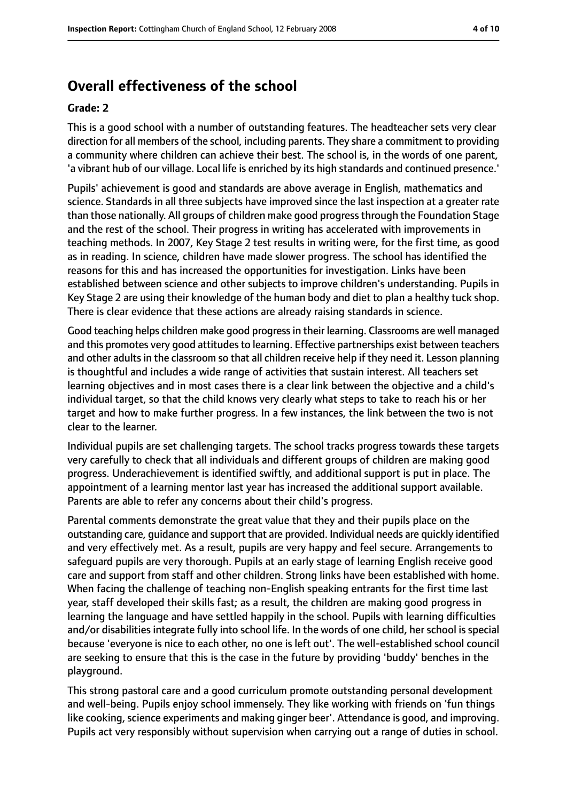## **Overall effectiveness of the school**

#### **Grade: 2**

This is a good school with a number of outstanding features. The headteacher sets very clear direction for all members of the school, including parents. They share a commitment to providing a community where children can achieve their best. The school is, in the words of one parent, 'a vibrant hub of our village. Local life is enriched by its high standards and continued presence.'

Pupils' achievement is good and standards are above average in English, mathematics and science. Standards in all three subjects have improved since the last inspection at a greater rate than those nationally. All groups of children make good progressthrough the Foundation Stage and the rest of the school. Their progress in writing has accelerated with improvements in teaching methods. In 2007, Key Stage 2 test results in writing were, for the first time, as good as in reading. In science, children have made slower progress. The school has identified the reasons for this and has increased the opportunities for investigation. Links have been established between science and other subjects to improve children's understanding. Pupils in Key Stage 2 are using their knowledge of the human body and diet to plan a healthy tuck shop. There is clear evidence that these actions are already raising standards in science.

Good teaching helps children make good progressin their learning. Classrooms are well managed and this promotes very good attitudes to learning. Effective partnerships exist between teachers and other adults in the classroom so that all children receive help if they need it. Lesson planning is thoughtful and includes a wide range of activities that sustain interest. All teachers set learning objectives and in most cases there is a clear link between the objective and a child's individual target, so that the child knows very clearly what steps to take to reach his or her target and how to make further progress. In a few instances, the link between the two is not clear to the learner.

Individual pupils are set challenging targets. The school tracks progress towards these targets very carefully to check that all individuals and different groups of children are making good progress. Underachievement is identified swiftly, and additional support is put in place. The appointment of a learning mentor last year has increased the additional support available. Parents are able to refer any concerns about their child's progress.

Parental comments demonstrate the great value that they and their pupils place on the outstanding care, guidance and support that are provided. Individual needs are quickly identified and very effectively met. As a result, pupils are very happy and feel secure. Arrangements to safeguard pupils are very thorough. Pupils at an early stage of learning English receive good care and support from staff and other children. Strong links have been established with home. When facing the challenge of teaching non-English speaking entrants for the first time last year, staff developed their skills fast; as a result, the children are making good progress in learning the language and have settled happily in the school. Pupils with learning difficulties and/or disabilities integrate fully into school life. In the words of one child, her school is special because 'everyone is nice to each other, no one is left out'. The well-established school council are seeking to ensure that this is the case in the future by providing 'buddy' benches in the playground.

This strong pastoral care and a good curriculum promote outstanding personal development and well-being. Pupils enjoy school immensely. They like working with friends on 'fun things like cooking, science experiments and making ginger beer'. Attendance is good, and improving. Pupils act very responsibly without supervision when carrying out a range of duties in school.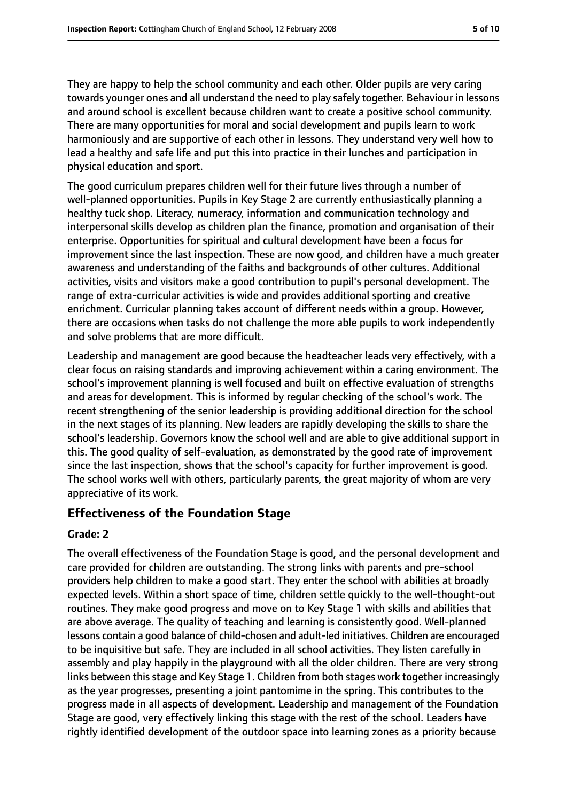They are happy to help the school community and each other. Older pupils are very caring towards younger ones and all understand the need to play safely together. Behaviour in lessons and around school is excellent because children want to create a positive school community. There are many opportunities for moral and social development and pupils learn to work harmoniously and are supportive of each other in lessons. They understand very well how to lead a healthy and safe life and put this into practice in their lunches and participation in physical education and sport.

The good curriculum prepares children well for their future lives through a number of well-planned opportunities. Pupils in Key Stage 2 are currently enthusiastically planning a healthy tuck shop. Literacy, numeracy, information and communication technology and interpersonal skills develop as children plan the finance, promotion and organisation of their enterprise. Opportunities for spiritual and cultural development have been a focus for improvement since the last inspection. These are now good, and children have a much greater awareness and understanding of the faiths and backgrounds of other cultures. Additional activities, visits and visitors make a good contribution to pupil's personal development. The range of extra-curricular activities is wide and provides additional sporting and creative enrichment. Curricular planning takes account of different needs within a group. However, there are occasions when tasks do not challenge the more able pupils to work independently and solve problems that are more difficult.

Leadership and management are good because the headteacher leads very effectively, with a clear focus on raising standards and improving achievement within a caring environment. The school's improvement planning is well focused and built on effective evaluation of strengths and areas for development. This is informed by regular checking of the school's work. The recent strengthening of the senior leadership is providing additional direction for the school in the next stages of its planning. New leaders are rapidly developing the skills to share the school's leadership. Governors know the school well and are able to give additional support in this. The good quality of self-evaluation, as demonstrated by the good rate of improvement since the last inspection, shows that the school's capacity for further improvement is good. The school works well with others, particularly parents, the great majority of whom are very appreciative of its work.

#### **Effectiveness of the Foundation Stage**

#### **Grade: 2**

The overall effectiveness of the Foundation Stage is good, and the personal development and care provided for children are outstanding. The strong links with parents and pre-school providers help children to make a good start. They enter the school with abilities at broadly expected levels. Within a short space of time, children settle quickly to the well-thought-out routines. They make good progress and move on to Key Stage 1 with skills and abilities that are above average. The quality of teaching and learning is consistently good. Well-planned lessons contain a good balance of child-chosen and adult-led initiatives. Children are encouraged to be inquisitive but safe. They are included in all school activities. They listen carefully in assembly and play happily in the playground with all the older children. There are very strong links between this stage and Key Stage 1. Children from both stages work together increasingly as the year progresses, presenting a joint pantomime in the spring. This contributes to the progress made in all aspects of development. Leadership and management of the Foundation Stage are good, very effectively linking this stage with the rest of the school. Leaders have rightly identified development of the outdoor space into learning zones as a priority because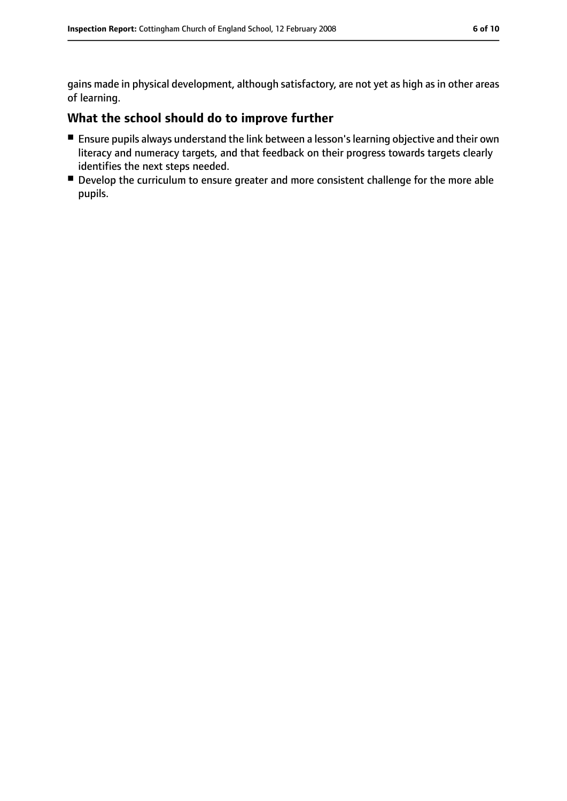gains made in physical development, although satisfactory, are not yet as high as in other areas of learning.

## **What the school should do to improve further**

- Ensure pupils always understand the link between a lesson's learning objective and their own literacy and numeracy targets, and that feedback on their progress towards targets clearly identifies the next steps needed.
- Develop the curriculum to ensure greater and more consistent challenge for the more able pupils.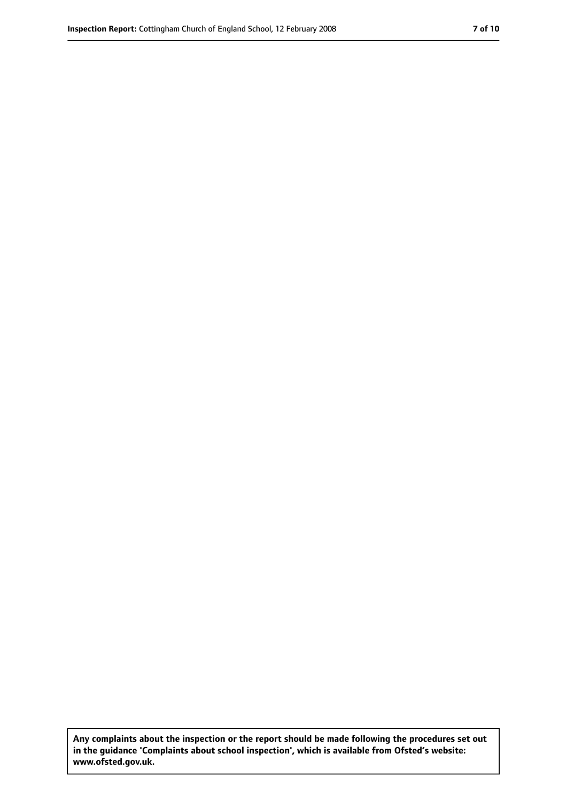**Any complaints about the inspection or the report should be made following the procedures set out in the guidance 'Complaints about school inspection', which is available from Ofsted's website: www.ofsted.gov.uk.**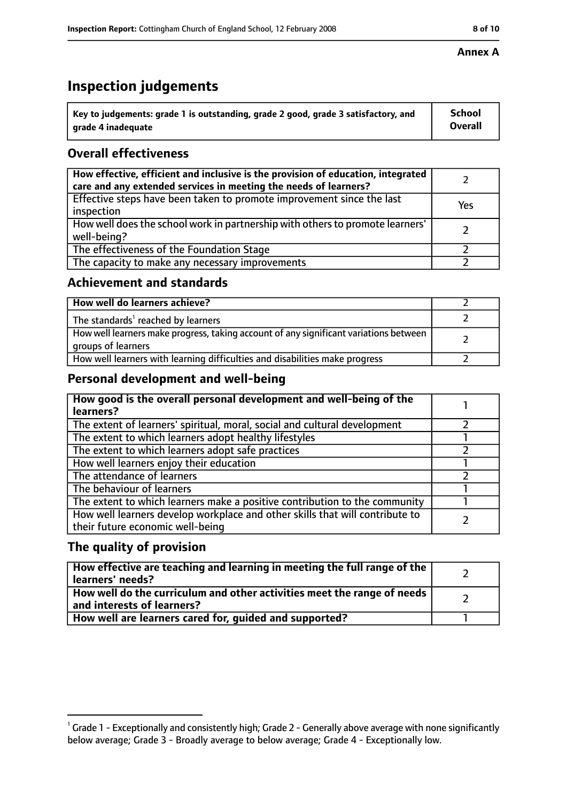# **Inspection judgements**

| $^{\backprime}$ Key to judgements: grade 1 is outstanding, grade 2 good, grade 3 satisfactory, and | <b>School</b>  |
|----------------------------------------------------------------------------------------------------|----------------|
| arade 4 inadeguate                                                                                 | <b>Overall</b> |

## **Overall effectiveness**

| How effective, efficient and inclusive is the provision of education, integrated<br>care and any extended services in meeting the needs of learners? |     |
|------------------------------------------------------------------------------------------------------------------------------------------------------|-----|
| Effective steps have been taken to promote improvement since the last<br>inspection                                                                  | Yes |
| How well does the school work in partnership with others to promote learners'<br>well-being?                                                         |     |
| The effectiveness of the Foundation Stage                                                                                                            |     |
| The capacity to make any necessary improvements                                                                                                      |     |

#### **Achievement and standards**

| How well do learners achieve?                                                                               |  |
|-------------------------------------------------------------------------------------------------------------|--|
| The standards <sup>1</sup> reached by learners                                                              |  |
| How well learners make progress, taking account of any significant variations between<br>groups of learners |  |
| How well learners with learning difficulties and disabilities make progress                                 |  |

## **Personal development and well-being**

| How good is the overall personal development and well-being of the<br>learners?                                  |  |
|------------------------------------------------------------------------------------------------------------------|--|
| The extent of learners' spiritual, moral, social and cultural development                                        |  |
| The extent to which learners adopt healthy lifestyles                                                            |  |
| The extent to which learners adopt safe practices                                                                |  |
| How well learners enjoy their education                                                                          |  |
| The attendance of learners                                                                                       |  |
| The behaviour of learners                                                                                        |  |
| The extent to which learners make a positive contribution to the community                                       |  |
| How well learners develop workplace and other skills that will contribute to<br>their future economic well-being |  |

## **The quality of provision**

| How effective are teaching and learning in meeting the full range of the<br>learners' needs?          |  |
|-------------------------------------------------------------------------------------------------------|--|
| How well do the curriculum and other activities meet the range of needs<br>and interests of learners? |  |
| How well are learners cared for, quided and supported?                                                |  |

#### **Annex A**

 $^1$  Grade 1 - Exceptionally and consistently high; Grade 2 - Generally above average with none significantly below average; Grade 3 - Broadly average to below average; Grade 4 - Exceptionally low.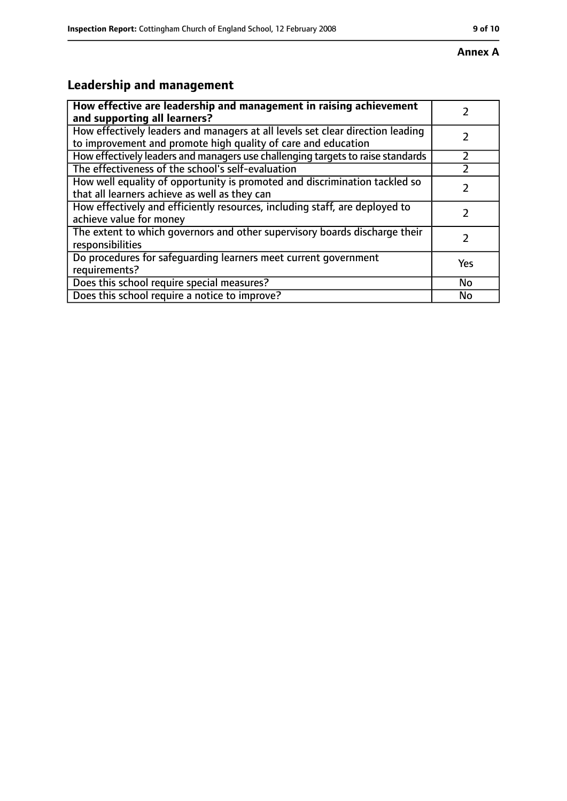# **Leadership and management**

| How effective are leadership and management in raising achievement<br>and supporting all learners?                                              |           |
|-------------------------------------------------------------------------------------------------------------------------------------------------|-----------|
| How effectively leaders and managers at all levels set clear direction leading<br>to improvement and promote high quality of care and education |           |
| How effectively leaders and managers use challenging targets to raise standards                                                                 |           |
| The effectiveness of the school's self-evaluation                                                                                               |           |
| How well equality of opportunity is promoted and discrimination tackled so<br>that all learners achieve as well as they can                     |           |
| How effectively and efficiently resources, including staff, are deployed to<br>achieve value for money                                          |           |
| The extent to which governors and other supervisory boards discharge their<br>responsibilities                                                  | 2         |
| Do procedures for safequarding learners meet current government<br>requirements?                                                                | Yes       |
| Does this school require special measures?                                                                                                      | <b>No</b> |
| Does this school require a notice to improve?                                                                                                   | No        |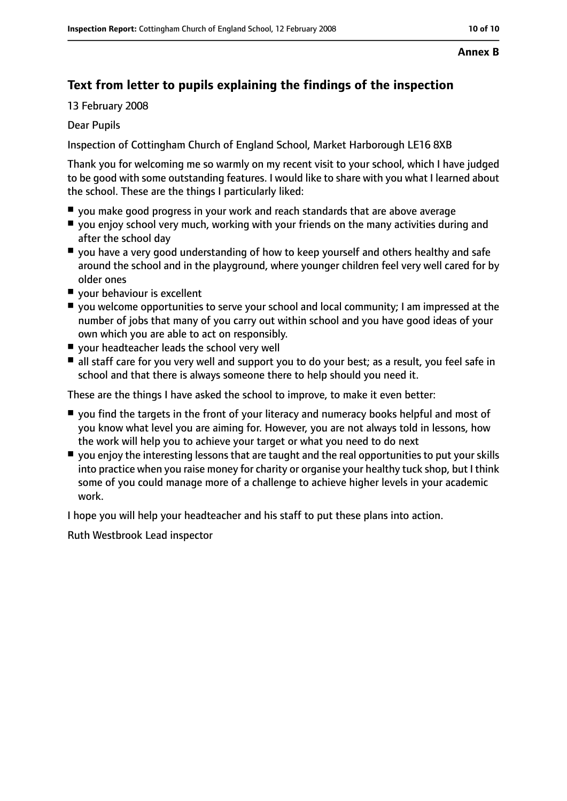#### **Annex B**

## **Text from letter to pupils explaining the findings of the inspection**

13 February 2008

#### Dear Pupils

Inspection of Cottingham Church of England School, Market Harborough LE16 8XB

Thank you for welcoming me so warmly on my recent visit to your school, which I have judged to be good with some outstanding features. I would like to share with you what I learned about the school. These are the things I particularly liked:

- you make good progress in your work and reach standards that are above average
- you enjoy school very much, working with your friends on the many activities during and after the school day
- you have a very good understanding of how to keep yourself and others healthy and safe around the school and in the playground, where younger children feel very well cared for by older ones
- your behaviour is excellent
- you welcome opportunities to serve your school and local community; I am impressed at the number of jobs that many of you carry out within school and you have good ideas of your own which you are able to act on responsibly.
- your headteacher leads the school very well
- all staff care for you very well and support you to do your best; as a result, you feel safe in school and that there is always someone there to help should you need it.

These are the things I have asked the school to improve, to make it even better:

- you find the targets in the front of your literacy and numeracy books helpful and most of you know what level you are aiming for. However, you are not always told in lessons, how the work will help you to achieve your target or what you need to do next
- you enjoy the interesting lessons that are taught and the real opportunities to put your skills into practice when you raise money for charity or organise your healthy tuck shop, but I think some of you could manage more of a challenge to achieve higher levels in your academic work.

I hope you will help your headteacher and his staff to put these plans into action.

Ruth Westbrook Lead inspector